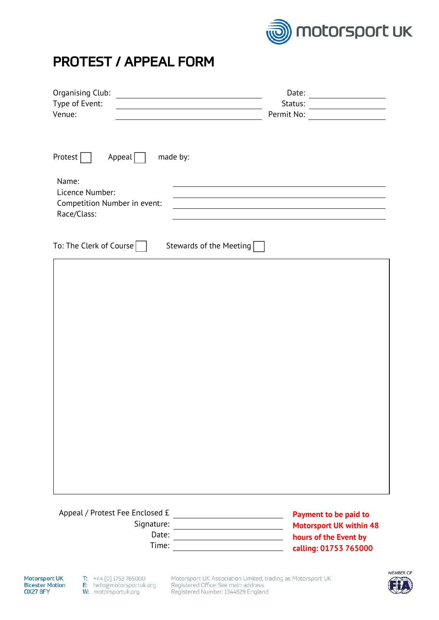

## PROTEST / APPEAL FORM

| Organising Club:<br><u> 1989 - Jan Stein Stein Stein Stein Stein Stein Stein Stein Stein Stein Stein Stein Stein Stein Stein Stein S</u> | Date:<br><u> 1989 - Jan Stein Stein Stein Stein Stein Stein Stein Stein Stein Stein Stein Stein Stein Stein Stein Stein S</u> |
|------------------------------------------------------------------------------------------------------------------------------------------|-------------------------------------------------------------------------------------------------------------------------------|
| Type of Event:                                                                                                                           | Status:<br><u> 1989 - Johann Barn, fransk politik (</u>                                                                       |
| Venue:                                                                                                                                   | Permit No:                                                                                                                    |
|                                                                                                                                          |                                                                                                                               |
|                                                                                                                                          |                                                                                                                               |
| Protest<br>Appeal<br>made by:                                                                                                            |                                                                                                                               |
| Name:<br>Licence Number:<br>Competition Number in event:                                                                                 |                                                                                                                               |
| Race/Class:                                                                                                                              |                                                                                                                               |
|                                                                                                                                          |                                                                                                                               |
| To: The Clerk of Course $\vert \ \ \vert$<br>Stewards of the Meeting $\sqrt{\frac{1}{1}}$                                                |                                                                                                                               |
|                                                                                                                                          |                                                                                                                               |
|                                                                                                                                          |                                                                                                                               |
|                                                                                                                                          |                                                                                                                               |
|                                                                                                                                          |                                                                                                                               |
|                                                                                                                                          |                                                                                                                               |
|                                                                                                                                          |                                                                                                                               |
|                                                                                                                                          |                                                                                                                               |
|                                                                                                                                          |                                                                                                                               |
|                                                                                                                                          |                                                                                                                               |
|                                                                                                                                          |                                                                                                                               |
|                                                                                                                                          |                                                                                                                               |
|                                                                                                                                          |                                                                                                                               |
|                                                                                                                                          |                                                                                                                               |
|                                                                                                                                          |                                                                                                                               |
|                                                                                                                                          |                                                                                                                               |
|                                                                                                                                          |                                                                                                                               |
|                                                                                                                                          |                                                                                                                               |
|                                                                                                                                          |                                                                                                                               |
|                                                                                                                                          |                                                                                                                               |
|                                                                                                                                          |                                                                                                                               |
|                                                                                                                                          |                                                                                                                               |
| Appeal / Protest Fee Enclosed £                                                                                                          | Payment to be paid to                                                                                                         |
| Signature:<br>Date:                                                                                                                      | <b>Motorsport UK within 48</b>                                                                                                |
|                                                                                                                                          | hours of the Event by                                                                                                         |

**hours of the Event by calling: 01753 765000**

**Motorsport UK Bicester Motion** OX27 8FY

Time: